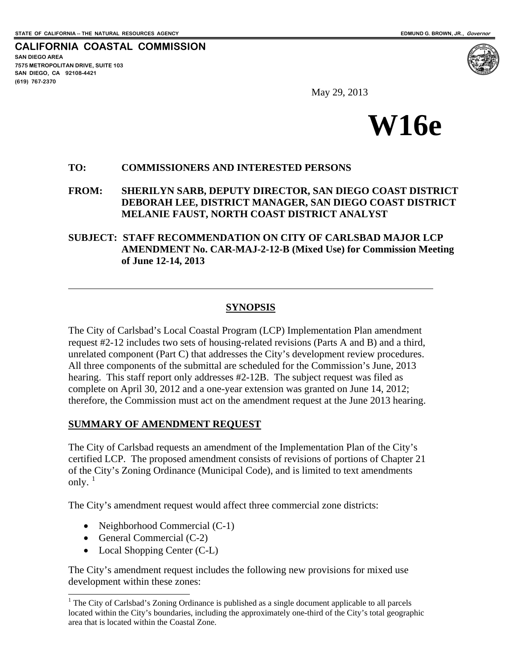**CALIFORNIA COASTAL COMMISSION SAN DIEGO AREA 7575 METROPOLITAN DRIVE, SUITE 103 SAN DIEGO, CA 92108-4421 (619) 767-2370**

 $\overline{a}$ 

i<br>L



May 29, 2013



#### **TO: COMMISSIONERS AND INTERESTED PERSONS**

**FROM: SHERILYN SARB, DEPUTY DIRECTOR, SAN DIEGO COAST DISTRICT DEBORAH LEE, DISTRICT MANAGER, SAN DIEGO COAST DISTRICT MELANIE FAUST, NORTH COAST DISTRICT ANALYST** 

**SUBJECT: STAFF RECOMMENDATION ON CITY OF CARLSBAD MAJOR LCP AMENDMENT No. CAR-MAJ-2-12-B (Mixed Use) for Commission Meeting of June 12-14, 2013** 

#### **SYNOPSIS**

The City of Carlsbad's Local Coastal Program (LCP) Implementation Plan amendment request #2-12 includes two sets of housing-related revisions (Parts A and B) and a third, unrelated component (Part C) that addresses the City's development review procedures. All three components of the submittal are scheduled for the Commission's June, 2013 hearing. This staff report only addresses #2-12B. The subject request was filed as complete on April 30, 2012 and a one-year extension was granted on June 14, 2012; therefore, the Commission must act on the amendment request at the June 2013 hearing.

#### **SUMMARY OF AMENDMENT REQUEST**

The City of Carlsbad requests an amendment of the Implementation Plan of the City's certified LCP. The proposed amendment consists of revisions of portions of Chapter 21 of the City's Zoning Ordinance (Municipal Code), and is limited to text amendments only.  $1$ 

The City's amendment request would affect three commercial zone districts:

- Neighborhood Commercial (C-1)
- General Commercial  $(C-2)$
- Local Shopping Center (C-L)

The City's amendment request includes the following new provisions for mixed use development within these zones:

<span id="page-0-0"></span><sup>&</sup>lt;sup>1</sup> The City of Carlsbad's Zoning Ordinance is published as a single document applicable to all parcels located within the City's boundaries, including the approximately one-third of the City's total geographic area that is located within the Coastal Zone.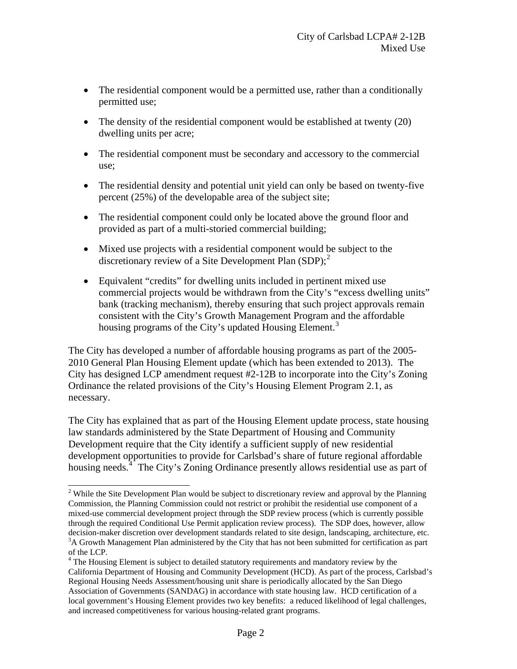- The residential component would be a permitted use, rather than a conditionally permitted use;
- The density of the residential component would be established at twenty (20) dwelling units per acre;
- The residential component must be secondary and accessory to the commercial use;
- The residential density and potential unit yield can only be based on twenty-five percent (25%) of the developable area of the subject site;
- The residential component could only be located above the ground floor and provided as part of a multi-storied commercial building;
- Mixed use projects with a residential component would be subject to the discretionary review of a Site Development Plan  $(SDP)$ ;<sup>[2](#page-1-0)</sup>
- Equivalent "credits" for dwelling units included in pertinent mixed use commercial projects would be withdrawn from the City's "excess dwelling units" bank (tracking mechanism), thereby ensuring that such project approvals remain consistent with the City's Growth Management Program and the affordable housing programs of the City's updated Housing Element.<sup>[3](#page-1-1)</sup>

The City has developed a number of affordable housing programs as part of the 2005- 2010 General Plan Housing Element update (which has been extended to 2013). The City has designed LCP amendment request #2-12B to incorporate into the City's Zoning Ordinance the related provisions of the City's Housing Element Program 2.1, as necessary.

The City has explained that as part of the Housing Element update process, state housing law standards administered by the State Department of Housing and Community Development require that the City identify a sufficient supply of new residential development opportunities to provide for Carlsbad's share of future regional affordable housing needs.<sup>[4](#page-1-2)</sup> The City's Zoning Ordinance presently allows residential use as part of

i<br>L

<span id="page-1-0"></span><sup>&</sup>lt;sup>2</sup> While the Site Development Plan would be subject to discretionary review and approval by the Planning Commission, the Planning Commission could not restrict or prohibit the residential use component of a mixed-use commercial development project through the SDP review process (which is currently possible through the required Conditional Use Permit application review process). The SDP does, however, allow decision-maker discretion over development standards related to site design, landscaping, architecture, etc. <sup>3</sup>A Growth Management Plan administered by the City that has not been submitted for certification as part of the LCP.

<span id="page-1-2"></span><span id="page-1-1"></span><sup>&</sup>lt;sup>4</sup> The Housing Element is subject to detailed statutory requirements and mandatory review by the California Department of Housing and Community Development (HCD). As part of the process, Carlsbad's Regional Housing Needs Assessment/housing unit share is periodically allocated by the San Diego Association of Governments (SANDAG) in accordance with state housing law. HCD certification of a local government's Housing Element provides two key benefits: a reduced likelihood of legal challenges, and increased competitiveness for various housing-related grant programs.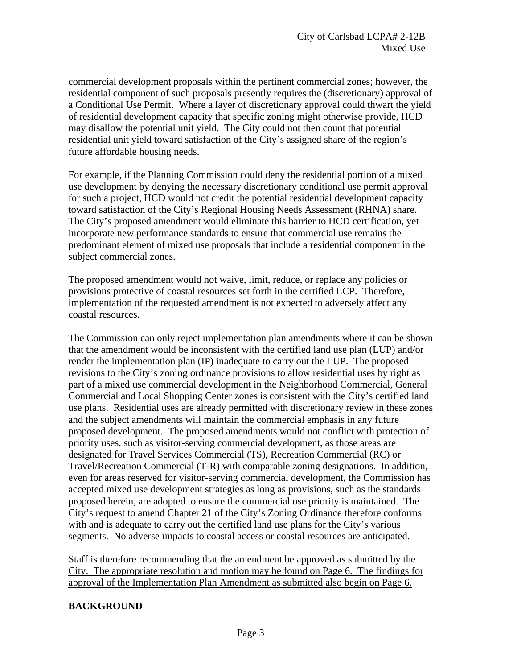commercial development proposals within the pertinent commercial zones; however, the residential component of such proposals presently requires the (discretionary) approval of a Conditional Use Permit. Where a layer of discretionary approval could thwart the yield of residential development capacity that specific zoning might otherwise provide, HCD may disallow the potential unit yield. The City could not then count that potential residential unit yield toward satisfaction of the City's assigned share of the region's future affordable housing needs.

For example, if the Planning Commission could deny the residential portion of a mixed use development by denying the necessary discretionary conditional use permit approval for such a project, HCD would not credit the potential residential development capacity toward satisfaction of the City's Regional Housing Needs Assessment (RHNA) share. The City's proposed amendment would eliminate this barrier to HCD certification, yet incorporate new performance standards to ensure that commercial use remains the predominant element of mixed use proposals that include a residential component in the subject commercial zones.

The proposed amendment would not waive, limit, reduce, or replace any policies or provisions protective of coastal resources set forth in the certified LCP. Therefore, implementation of the requested amendment is not expected to adversely affect any coastal resources.

The Commission can only reject implementation plan amendments where it can be shown that the amendment would be inconsistent with the certified land use plan (LUP) and/or render the implementation plan (IP) inadequate to carry out the LUP. The proposed revisions to the City's zoning ordinance provisions to allow residential uses by right as part of a mixed use commercial development in the Neighborhood Commercial, General Commercial and Local Shopping Center zones is consistent with the City's certified land use plans. Residential uses are already permitted with discretionary review in these zones and the subject amendments will maintain the commercial emphasis in any future proposed development. The proposed amendments would not conflict with protection of priority uses, such as visitor-serving commercial development, as those areas are designated for Travel Services Commercial (TS), Recreation Commercial (RC) or Travel/Recreation Commercial (T-R) with comparable zoning designations. In addition, even for areas reserved for visitor-serving commercial development, the Commission has accepted mixed use development strategies as long as provisions, such as the standards proposed herein, are adopted to ensure the commercial use priority is maintained. The City's request to amend Chapter 21 of the City's Zoning Ordinance therefore conforms with and is adequate to carry out the certified land use plans for the City's various segments. No adverse impacts to coastal access or coastal resources are anticipated.

Staff is therefore recommending that the amendment be approved as submitted by the City. The appropriate resolution and motion may be found on Page 6. The findings for approval of the Implementation Plan Amendment as submitted also begin on Page 6.

### **BACKGROUND**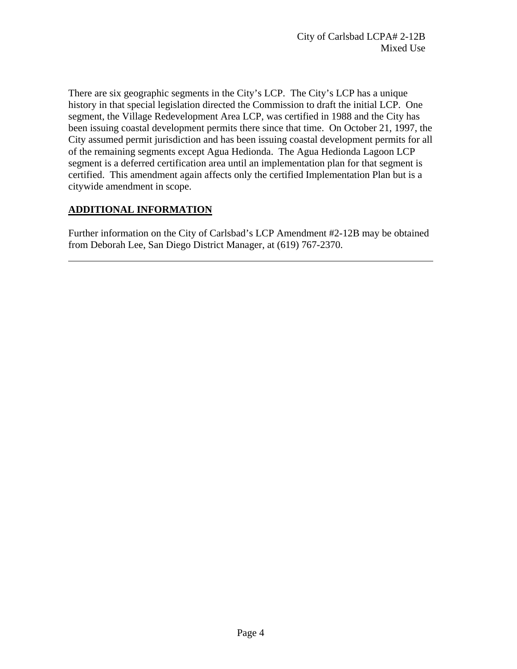There are six geographic segments in the City's LCP. The City's LCP has a unique history in that special legislation directed the Commission to draft the initial LCP. One segment, the Village Redevelopment Area LCP, was certified in 1988 and the City has been issuing coastal development permits there since that time. On October 21, 1997, the City assumed permit jurisdiction and has been issuing coastal development permits for all of the remaining segments except Agua Hedionda. The Agua Hedionda Lagoon LCP segment is a deferred certification area until an implementation plan for that segment is certified. This amendment again affects only the certified Implementation Plan but is a citywide amendment in scope.

# **ADDITIONAL INFORMATION**

 $\overline{a}$ 

Further information on the City of Carlsbad's LCP Amendment #2-12B may be obtained from Deborah Lee, San Diego District Manager, at (619) 767-2370.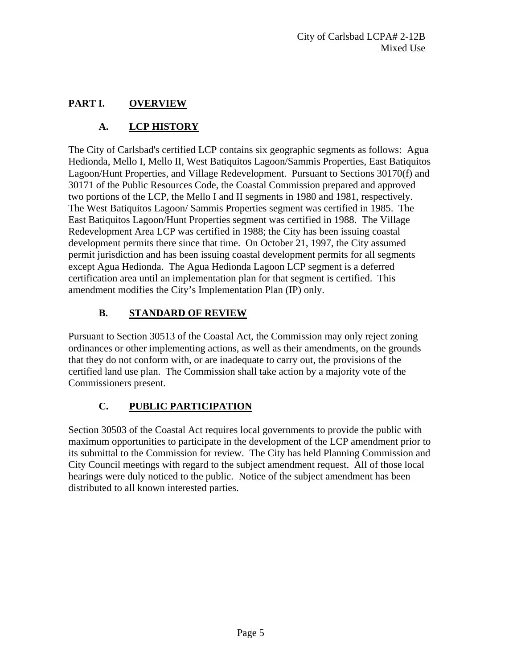# **PART I. OVERVIEW**

# **A. LCP HISTORY**

The City of Carlsbad's certified LCP contains six geographic segments as follows: Agua Hedionda, Mello I, Mello II, West Batiquitos Lagoon/Sammis Properties, East Batiquitos Lagoon/Hunt Properties, and Village Redevelopment. Pursuant to Sections 30170(f) and 30171 of the Public Resources Code, the Coastal Commission prepared and approved two portions of the LCP, the Mello I and II segments in 1980 and 1981, respectively. The West Batiquitos Lagoon/ Sammis Properties segment was certified in 1985. The East Batiquitos Lagoon/Hunt Properties segment was certified in 1988. The Village Redevelopment Area LCP was certified in 1988; the City has been issuing coastal development permits there since that time. On October 21, 1997, the City assumed permit jurisdiction and has been issuing coastal development permits for all segments except Agua Hedionda. The Agua Hedionda Lagoon LCP segment is a deferred certification area until an implementation plan for that segment is certified. This amendment modifies the City's Implementation Plan (IP) only.

# **B. STANDARD OF REVIEW**

Pursuant to Section 30513 of the Coastal Act, the Commission may only reject zoning ordinances or other implementing actions, as well as their amendments, on the grounds that they do not conform with, or are inadequate to carry out, the provisions of the certified land use plan. The Commission shall take action by a majority vote of the Commissioners present.

# **C. PUBLIC PARTICIPATION**

Section 30503 of the Coastal Act requires local governments to provide the public with maximum opportunities to participate in the development of the LCP amendment prior to its submittal to the Commission for review. The City has held Planning Commission and City Council meetings with regard to the subject amendment request. All of those local hearings were duly noticed to the public. Notice of the subject amendment has been distributed to all known interested parties.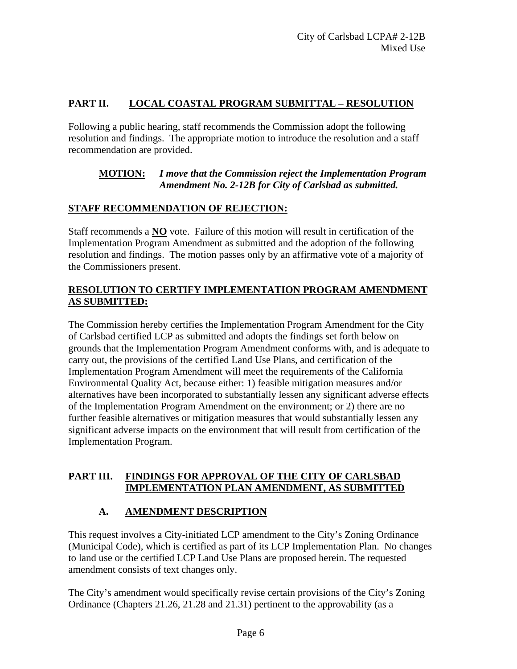# **PART II. LOCAL COASTAL PROGRAM SUBMITTAL – RESOLUTION**

Following a public hearing, staff recommends the Commission adopt the following resolution and findings. The appropriate motion to introduce the resolution and a staff recommendation are provided.

### **MOTION:** *I move that the Commission reject the Implementation Program Amendment No. 2-12B for City of Carlsbad as submitted.*

### **STAFF RECOMMENDATION OF REJECTION:**

Staff recommends a **NO** vote. Failure of this motion will result in certification of the Implementation Program Amendment as submitted and the adoption of the following resolution and findings. The motion passes only by an affirmative vote of a majority of the Commissioners present.

## **RESOLUTION TO CERTIFY IMPLEMENTATION PROGRAM AMENDMENT AS SUBMITTED:**

The Commission hereby certifies the Implementation Program Amendment for the City of Carlsbad certified LCP as submitted and adopts the findings set forth below on grounds that the Implementation Program Amendment conforms with, and is adequate to carry out, the provisions of the certified Land Use Plans, and certification of the Implementation Program Amendment will meet the requirements of the California Environmental Quality Act, because either: 1) feasible mitigation measures and/or alternatives have been incorporated to substantially lessen any significant adverse effects of the Implementation Program Amendment on the environment; or 2) there are no further feasible alternatives or mitigation measures that would substantially lessen any significant adverse impacts on the environment that will result from certification of the Implementation Program.

# **PART III. FINDINGS FOR APPROVAL OF THE CITY OF CARLSBAD IMPLEMENTATION PLAN AMENDMENT, AS SUBMITTED**

# **A. AMENDMENT DESCRIPTION**

This request involves a City-initiated LCP amendment to the City's Zoning Ordinance (Municipal Code), which is certified as part of its LCP Implementation Plan. No changes to land use or the certified LCP Land Use Plans are proposed herein. The requested amendment consists of text changes only.

The City's amendment would specifically revise certain provisions of the City's Zoning Ordinance (Chapters 21.26, 21.28 and 21.31) pertinent to the approvability (as a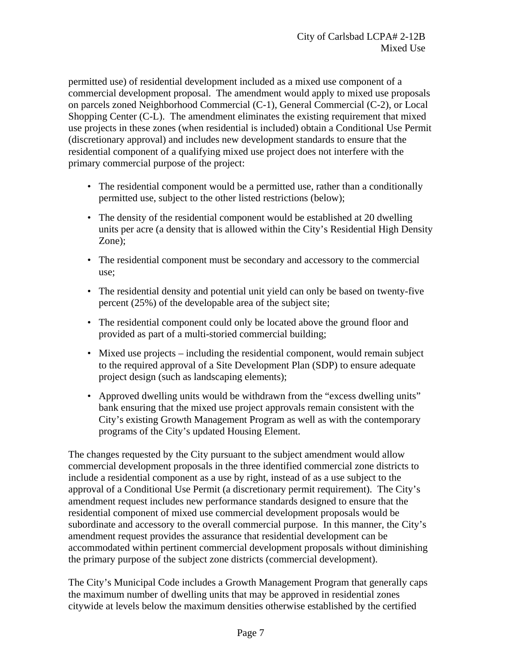permitted use) of residential development included as a mixed use component of a commercial development proposal. The amendment would apply to mixed use proposals on parcels zoned Neighborhood Commercial (C-1), General Commercial (C-2), or Local Shopping Center (C-L). The amendment eliminates the existing requirement that mixed use projects in these zones (when residential is included) obtain a Conditional Use Permit (discretionary approval) and includes new development standards to ensure that the residential component of a qualifying mixed use project does not interfere with the primary commercial purpose of the project:

- The residential component would be a permitted use, rather than a conditionally permitted use, subject to the other listed restrictions (below);
- The density of the residential component would be established at 20 dwelling units per acre (a density that is allowed within the City's Residential High Density Zone);
- The residential component must be secondary and accessory to the commercial use;
- The residential density and potential unit yield can only be based on twenty-five percent (25%) of the developable area of the subject site;
- The residential component could only be located above the ground floor and provided as part of a multi-storied commercial building;
- Mixed use projects including the residential component, would remain subject to the required approval of a Site Development Plan (SDP) to ensure adequate project design (such as landscaping elements);
- Approved dwelling units would be withdrawn from the "excess dwelling units" bank ensuring that the mixed use project approvals remain consistent with the City's existing Growth Management Program as well as with the contemporary programs of the City's updated Housing Element.

The changes requested by the City pursuant to the subject amendment would allow commercial development proposals in the three identified commercial zone districts to include a residential component as a use by right, instead of as a use subject to the approval of a Conditional Use Permit (a discretionary permit requirement). The City's amendment request includes new performance standards designed to ensure that the residential component of mixed use commercial development proposals would be subordinate and accessory to the overall commercial purpose. In this manner, the City's amendment request provides the assurance that residential development can be accommodated within pertinent commercial development proposals without diminishing the primary purpose of the subject zone districts (commercial development).

The City's Municipal Code includes a Growth Management Program that generally caps the maximum number of dwelling units that may be approved in residential zones citywide at levels below the maximum densities otherwise established by the certified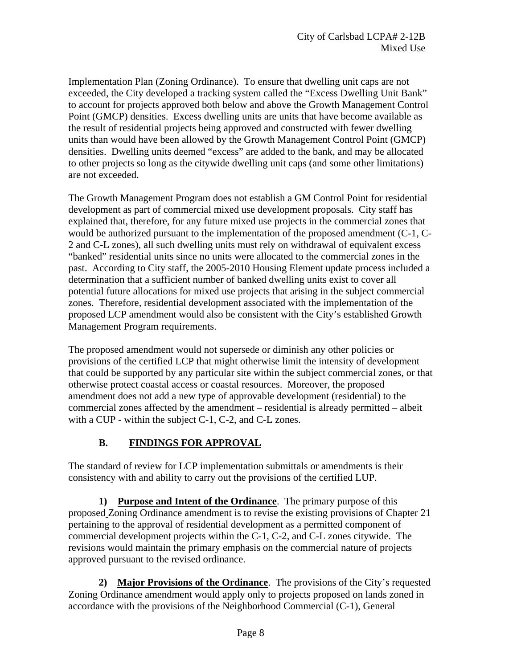Implementation Plan (Zoning Ordinance). To ensure that dwelling unit caps are not exceeded, the City developed a tracking system called the "Excess Dwelling Unit Bank" to account for projects approved both below and above the Growth Management Control Point (GMCP) densities. Excess dwelling units are units that have become available as the result of residential projects being approved and constructed with fewer dwelling units than would have been allowed by the Growth Management Control Point (GMCP) densities. Dwelling units deemed "excess" are added to the bank, and may be allocated to other projects so long as the citywide dwelling unit caps (and some other limitations) are not exceeded.

The Growth Management Program does not establish a GM Control Point for residential development as part of commercial mixed use development proposals. City staff has explained that, therefore, for any future mixed use projects in the commercial zones that would be authorized pursuant to the implementation of the proposed amendment (C-1, C-2 and C-L zones), all such dwelling units must rely on withdrawal of equivalent excess "banked" residential units since no units were allocated to the commercial zones in the past. According to City staff, the 2005-2010 Housing Element update process included a determination that a sufficient number of banked dwelling units exist to cover all potential future allocations for mixed use projects that arising in the subject commercial zones. Therefore, residential development associated with the implementation of the proposed LCP amendment would also be consistent with the City's established Growth Management Program requirements.

The proposed amendment would not supersede or diminish any other policies or provisions of the certified LCP that might otherwise limit the intensity of development that could be supported by any particular site within the subject commercial zones, or that otherwise protect coastal access or coastal resources. Moreover, the proposed amendment does not add a new type of approvable development (residential) to the commercial zones affected by the amendment – residential is already permitted – albeit with a CUP - within the subject C-1, C-2, and C-L zones.

# **B. FINDINGS FOR APPROVAL**

The standard of review for LCP implementation submittals or amendments is their consistency with and ability to carry out the provisions of the certified LUP.

**1) Purpose and Intent of the Ordinance**. The primary purpose of this proposed Zoning Ordinance amendment is to revise the existing provisions of Chapter 21 pertaining to the approval of residential development as a permitted component of commercial development projects within the C-1, C-2, and C-L zones citywide. The revisions would maintain the primary emphasis on the commercial nature of projects approved pursuant to the revised ordinance.

**2) Major Provisions of the Ordinance**. The provisions of the City's requested Zoning Ordinance amendment would apply only to projects proposed on lands zoned in accordance with the provisions of the Neighborhood Commercial (C-1), General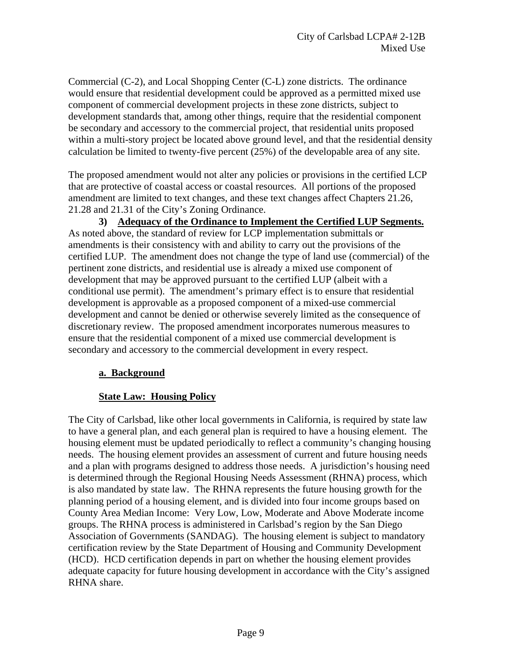Commercial (C-2), and Local Shopping Center (C-L) zone districts. The ordinance would ensure that residential development could be approved as a permitted mixed use component of commercial development projects in these zone districts, subject to development standards that, among other things, require that the residential component be secondary and accessory to the commercial project, that residential units proposed within a multi-story project be located above ground level, and that the residential density calculation be limited to twenty-five percent (25%) of the developable area of any site.

The proposed amendment would not alter any policies or provisions in the certified LCP that are protective of coastal access or coastal resources. All portions of the proposed amendment are limited to text changes, and these text changes affect Chapters 21.26, 21.28 and 21.31 of the City's Zoning Ordinance.

**3) Adequacy of the Ordinance to Implement the Certified LUP Segments.**  As noted above, the standard of review for LCP implementation submittals or amendments is their consistency with and ability to carry out the provisions of the certified LUP. The amendment does not change the type of land use (commercial) of the pertinent zone districts, and residential use is already a mixed use component of development that may be approved pursuant to the certified LUP (albeit with a conditional use permit). The amendment's primary effect is to ensure that residential development is approvable as a proposed component of a mixed-use commercial development and cannot be denied or otherwise severely limited as the consequence of discretionary review. The proposed amendment incorporates numerous measures to ensure that the residential component of a mixed use commercial development is secondary and accessory to the commercial development in every respect.

#### **a. Background**

### **State Law: Housing Policy**

The City of Carlsbad, like other local governments in California, is required by state law to have a general plan, and each general plan is required to have a housing element. The housing element must be updated periodically to reflect a community's changing housing needs. The housing element provides an assessment of current and future housing needs and a plan with programs designed to address those needs. A jurisdiction's housing need is determined through the Regional Housing Needs Assessment (RHNA) process, which is also mandated by state law. The RHNA represents the future housing growth for the planning period of a housing element, and is divided into four income groups based on County Area Median Income: Very Low, Low, Moderate and Above Moderate income groups. The RHNA process is administered in Carlsbad's region by the San Diego Association of Governments (SANDAG). The housing element is subject to mandatory certification review by the State Department of Housing and Community Development (HCD). HCD certification depends in part on whether the housing element provides adequate capacity for future housing development in accordance with the City's assigned RHNA share.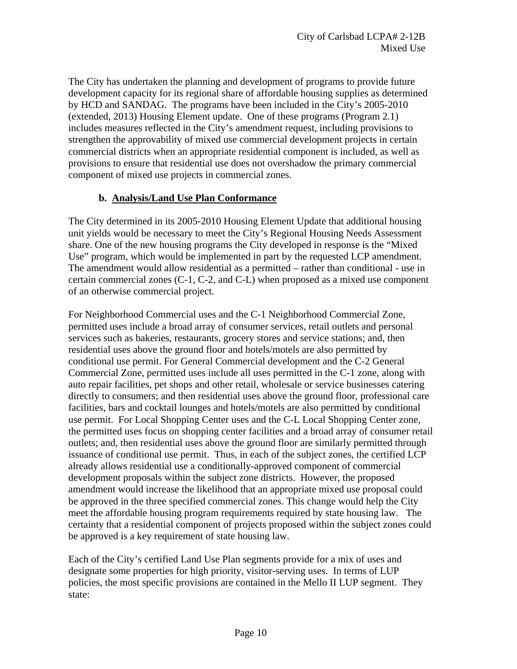The City has undertaken the planning and development of programs to provide future development capacity for its regional share of affordable housing supplies as determined by HCD and SANDAG. The programs have been included in the City's 2005-2010 (extended, 2013) Housing Element update. One of these programs (Program 2.1) includes measures reflected in the City's amendment request, including provisions to strengthen the approvability of mixed use commercial development projects in certain commercial districts when an appropriate residential component is included, as well as provisions to ensure that residential use does not overshadow the primary commercial component of mixed use projects in commercial zones.

### **b. Analysis/Land Use Plan Conformance**

The City determined in its 2005-2010 Housing Element Update that additional housing unit yields would be necessary to meet the City's Regional Housing Needs Assessment share. One of the new housing programs the City developed in response is the "Mixed Use" program, which would be implemented in part by the requested LCP amendment. The amendment would allow residential as a permitted – rather than conditional - use in certain commercial zones (C-1, C-2, and C-L) when proposed as a mixed use component of an otherwise commercial project.

For Neighborhood Commercial uses and the C-1 Neighborhood Commercial Zone, permitted uses include a broad array of consumer services, retail outlets and personal services such as bakeries, restaurants, grocery stores and service stations; and, then residential uses above the ground floor and hotels/motels are also permitted by conditional use permit. For General Commercial development and the C-2 General Commercial Zone, permitted uses include all uses permitted in the C-1 zone, along with auto repair facilities, pet shops and other retail, wholesale or service businesses catering directly to consumers; and then residential uses above the ground floor, professional care facilities, bars and cocktail lounges and hotels/motels are also permitted by conditional use permit. For Local Shopping Center uses and the C-L Local Shopping Center zone, the permitted uses focus on shopping center facilities and a broad array of consumer retail outlets; and, then residential uses above the ground floor are similarly permitted through issuance of conditional use permit. Thus, in each of the subject zones, the certified LCP already allows residential use a conditionally-approved component of commercial development proposals within the subject zone districts. However, the proposed amendment would increase the likelihood that an appropriate mixed use proposal could be approved in the three specified commercial zones. This change would help the City meet the affordable housing program requirements required by state housing law. The certainty that a residential component of projects proposed within the subject zones could be approved is a key requirement of state housing law.

Each of the City's certified Land Use Plan segments provide for a mix of uses and designate some properties for high priority, visitor-serving uses. In terms of LUP policies, the most specific provisions are contained in the Mello II LUP segment. They state: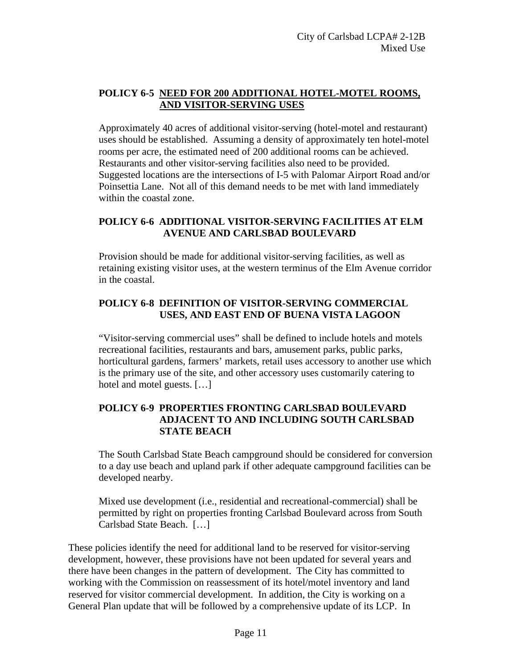## **POLICY 6-5 NEED FOR 200 ADDITIONAL HOTEL-MOTEL ROOMS, AND VISITOR-SERVING USES**

Approximately 40 acres of additional visitor-serving (hotel-motel and restaurant) uses should be established. Assuming a density of approximately ten hotel-motel rooms per acre, the estimated need of 200 additional rooms can be achieved. Restaurants and other visitor-serving facilities also need to be provided. Suggested locations are the intersections of I-5 with Palomar Airport Road and/or Poinsettia Lane. Not all of this demand needs to be met with land immediately within the coastal zone.

### **POLICY 6-6 ADDITIONAL VISITOR-SERVING FACILITIES AT ELM AVENUE AND CARLSBAD BOULEVARD**

Provision should be made for additional visitor-serving facilities, as well as retaining existing visitor uses, at the western terminus of the Elm Avenue corridor in the coastal.

### **POLICY 6-8 DEFINITION OF VISITOR-SERVING COMMERCIAL USES, AND EAST END OF BUENA VISTA LAGOON**

"Visitor-serving commercial uses" shall be defined to include hotels and motels recreational facilities, restaurants and bars, amusement parks, public parks, horticultural gardens, farmers' markets, retail uses accessory to another use which is the primary use of the site, and other accessory uses customarily catering to hotel and motel guests. […]

### **POLICY 6-9 PROPERTIES FRONTING CARLSBAD BOULEVARD ADJACENT TO AND INCLUDING SOUTH CARLSBAD STATE BEACH**

The South Carlsbad State Beach campground should be considered for conversion to a day use beach and upland park if other adequate campground facilities can be developed nearby.

Mixed use development (i.e., residential and recreational-commercial) shall be permitted by right on properties fronting Carlsbad Boulevard across from South Carlsbad State Beach. […]

These policies identify the need for additional land to be reserved for visitor-serving development, however, these provisions have not been updated for several years and there have been changes in the pattern of development. The City has committed to working with the Commission on reassessment of its hotel/motel inventory and land reserved for visitor commercial development. In addition, the City is working on a General Plan update that will be followed by a comprehensive update of its LCP. In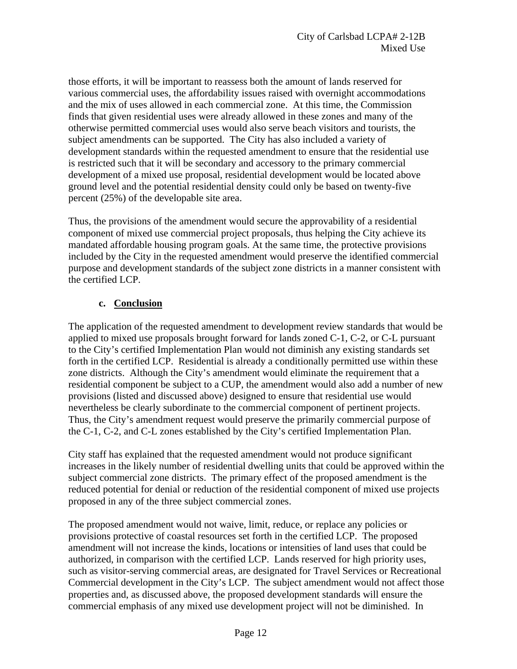those efforts, it will be important to reassess both the amount of lands reserved for various commercial uses, the affordability issues raised with overnight accommodations and the mix of uses allowed in each commercial zone. At this time, the Commission finds that given residential uses were already allowed in these zones and many of the otherwise permitted commercial uses would also serve beach visitors and tourists, the subject amendments can be supported. The City has also included a variety of development standards within the requested amendment to ensure that the residential use is restricted such that it will be secondary and accessory to the primary commercial development of a mixed use proposal, residential development would be located above ground level and the potential residential density could only be based on twenty-five percent (25%) of the developable site area.

Thus, the provisions of the amendment would secure the approvability of a residential component of mixed use commercial project proposals, thus helping the City achieve its mandated affordable housing program goals. At the same time, the protective provisions included by the City in the requested amendment would preserve the identified commercial purpose and development standards of the subject zone districts in a manner consistent with the certified LCP.

### **c. Conclusion**

The application of the requested amendment to development review standards that would be applied to mixed use proposals brought forward for lands zoned C-1, C-2, or C-L pursuant to the City's certified Implementation Plan would not diminish any existing standards set forth in the certified LCP. Residential is already a conditionally permitted use within these zone districts. Although the City's amendment would eliminate the requirement that a residential component be subject to a CUP, the amendment would also add a number of new provisions (listed and discussed above) designed to ensure that residential use would nevertheless be clearly subordinate to the commercial component of pertinent projects. Thus, the City's amendment request would preserve the primarily commercial purpose of the C-1, C-2, and C-L zones established by the City's certified Implementation Plan.

City staff has explained that the requested amendment would not produce significant increases in the likely number of residential dwelling units that could be approved within the subject commercial zone districts. The primary effect of the proposed amendment is the reduced potential for denial or reduction of the residential component of mixed use projects proposed in any of the three subject commercial zones.

The proposed amendment would not waive, limit, reduce, or replace any policies or provisions protective of coastal resources set forth in the certified LCP. The proposed amendment will not increase the kinds, locations or intensities of land uses that could be authorized, in comparison with the certified LCP. Lands reserved for high priority uses, such as visitor-serving commercial areas, are designated for Travel Services or Recreational Commercial development in the City's LCP. The subject amendment would not affect those properties and, as discussed above, the proposed development standards will ensure the commercial emphasis of any mixed use development project will not be diminished. In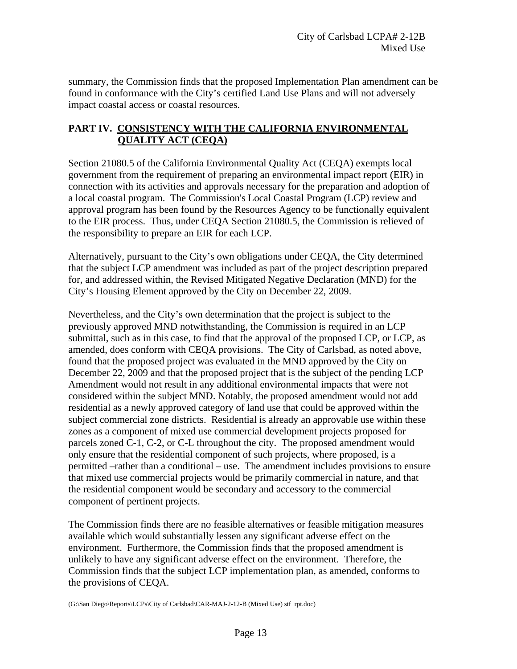summary, the Commission finds that the proposed Implementation Plan amendment can be found in conformance with the City's certified Land Use Plans and will not adversely impact coastal access or coastal resources.

## **PART IV. CONSISTENCY WITH THE CALIFORNIA ENVIRONMENTAL QUALITY ACT (CEQA)**

Section 21080.5 of the California Environmental Quality Act (CEQA) exempts local government from the requirement of preparing an environmental impact report (EIR) in connection with its activities and approvals necessary for the preparation and adoption of a local coastal program. The Commission's Local Coastal Program (LCP) review and approval program has been found by the Resources Agency to be functionally equivalent to the EIR process. Thus, under CEQA Section 21080.5, the Commission is relieved of the responsibility to prepare an EIR for each LCP.

Alternatively, pursuant to the City's own obligations under CEQA, the City determined that the subject LCP amendment was included as part of the project description prepared for, and addressed within, the Revised Mitigated Negative Declaration (MND) for the City's Housing Element approved by the City on December 22, 2009.

Nevertheless, and the City's own determination that the project is subject to the previously approved MND notwithstanding, the Commission is required in an LCP submittal, such as in this case, to find that the approval of the proposed LCP, or LCP, as amended, does conform with CEQA provisions. The City of Carlsbad, as noted above, found that the proposed project was evaluated in the MND approved by the City on December 22, 2009 and that the proposed project that is the subject of the pending LCP Amendment would not result in any additional environmental impacts that were not considered within the subject MND. Notably, the proposed amendment would not add residential as a newly approved category of land use that could be approved within the subject commercial zone districts. Residential is already an approvable use within these zones as a component of mixed use commercial development projects proposed for parcels zoned C-1, C-2, or C-L throughout the city. The proposed amendment would only ensure that the residential component of such projects, where proposed, is a permitted –rather than a conditional – use. The amendment includes provisions to ensure that mixed use commercial projects would be primarily commercial in nature, and that the residential component would be secondary and accessory to the commercial component of pertinent projects.

The Commission finds there are no feasible alternatives or feasible mitigation measures available which would substantially lessen any significant adverse effect on the environment. Furthermore, the Commission finds that the proposed amendment is unlikely to have any significant adverse effect on the environment. Therefore, the Commission finds that the subject LCP implementation plan, as amended, conforms to the provisions of CEQA.

(G:\San Diego\Reports\LCPs\City of Carlsbad\CAR-MAJ-2-12-B (Mixed Use) stf rpt.doc)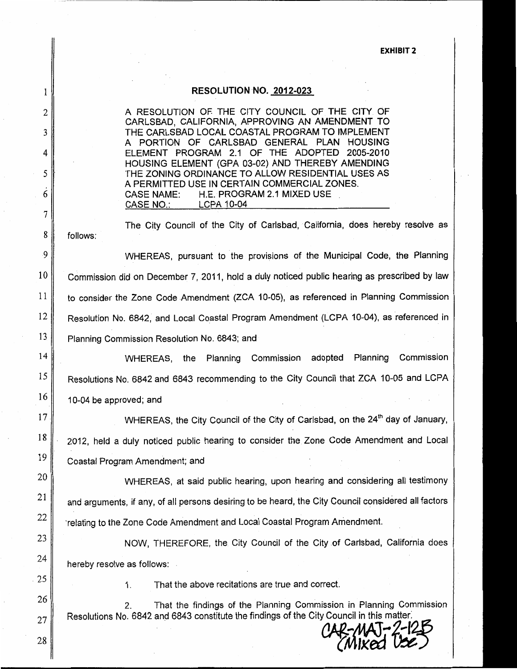#### **EXHIBIT 2**

#### RESOLUTION NO. 2012-023

A RESOLUTION OF THE CITY COUNCIL OF THE CITY OF CARLSBAD, CALIFORNIA, APPROVING AN AMENDMENT TO THE CARLSBAD LOCAL COASTAL PROGRAM TO IMPLEMENT A PORTION OF CARLSBAD GENERAL PLAN HOUSING ELEMENT PROGRAM 2.1 OF THE ADOPTED 2005-2010 HOUSING ELEMENT (GPA 03-02) AND THEREBY AMENDING THE ZONING ORDINANCE TO ALLOW RESIDENTIAL USES AS A PERMITTED USE IN CERTAIN COMMERCIAL ZONES. H.E. PROGRAM 2.1 MIXED USE **CASE NAME: CASE NO.: LCPA 10-04** 

The City Council of the City of Carlsbad, California, does hereby resolve as follows:

WHEREAS, pursuant to the provisions of the Municipal Code, the Planning Commission did on December 7, 2011, hold a duly noticed public hearing as prescribed by law to consider the Zone Code Amendment (ZCA 10-05), as referenced in Planning Commission Resolution No. 6842, and Local Coastal Program Amendment (LCPA 10-04), as referenced in Planning Commission Resolution No. 6843; and

WHEREAS, the Planning Commission adopted Planning Commission Resolutions No. 6842 and 6843 recommending to the City Council that ZCA 10-05 and LCPA 10-04 be approved; and

WHEREAS, the City Council of the City of Carlsbad, on the 24<sup>th</sup> day of January, 2012, held a duly noticed public hearing to consider the Zone Code Amendment and Local Coastal Program Amendment; and

WHEREAS, at said public hearing, upon hearing and considering all testimony and arguments, if any, of all persons desiring to be heard, the City Council considered all factors relating to the Zone Code Amendment and Local Coastal Program Amendment.

NOW, THEREFORE, the City Council of the City of Carlsbad, California does hereby resolve as follows:

That the above recitations are true and correct.

 $2.$ That the findings of the Planning Commission in Planning Commission Resolutions No. 6842 and 6843 constitute the findings of the City Council in this matter.

l

 $\overline{c}$ 

3

4

5

6

 $\overline{7}$ 

8

.9

10

11

12

13

14

15

16

17

18

19

20

21

22

23

24

 $1<sup>1</sup>$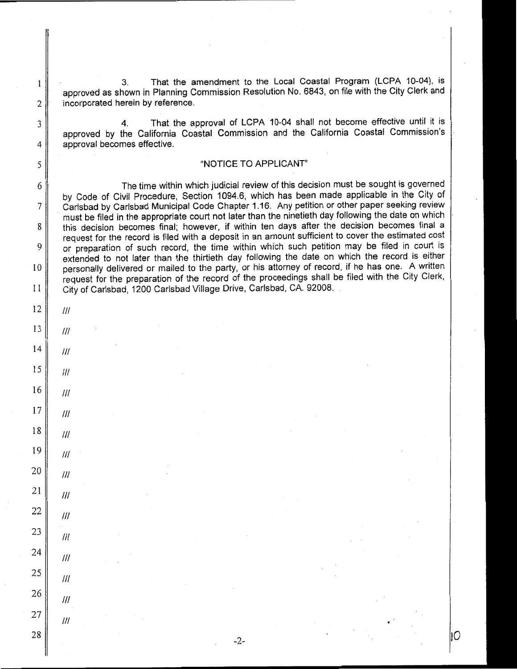That the amendment to the Local Coastal Program (LCPA 10-04), is 3. approved as shown in Planning Commission Resolution No. 6843, on file with the City Clerk and incorporated herein by reference.

That the approval of LCPA 10-04 shall not become effective until it is  $4<sup>1</sup>$ approved by the California Coastal Commission and the California Coastal Commission's approval becomes effective.

#### "NOTICE TO APPLICANT"

The time within which judicial review of this decision must be sought is governed by Code of Civil Procedure, Section 1094.6, which has been made applicable in the City of Carlsbad by Carlsbad Municipal Code Chapter 1.16. Any petition or other paper seeking review must be filed in the appropriate court not later than the ninetieth day following the date on which this decision becomes final; however, if within ten days after the decision becomes final a request for the record is filed with a deposit in an amount sufficient to cover the estimated cost or preparation of such record, the time within which such petition may be filed in court is extended to not later than the thirtieth day following the date on which the record is either personally delivered or mailed to the party, or his attorney of record, if he has one. A written request for the preparation of the record of the proceedings shall be filed with the City Clerk, City of Carlsbad, 1200 Carlsbad Village Drive, Carlsbad, CA. 92008.

12  $III$ 13  $III$  $14$  $III$ 15  $III$ 16  $III$ 17  $III$ 18  $III$ 19  $III$ 20  $III$ 

21

22

23

24

25

26

27

28

 $III$ 

 $III$ 

 $III$ 

 $III$ 

 $III$ 

 $III$ 

 $III$ 

 $\mathbf{1}$ 

 $\overline{2}$ 

3

4

5

6

 $\overline{7}$ 

8

9

10

 $11$ 

 $-2-$ 

IС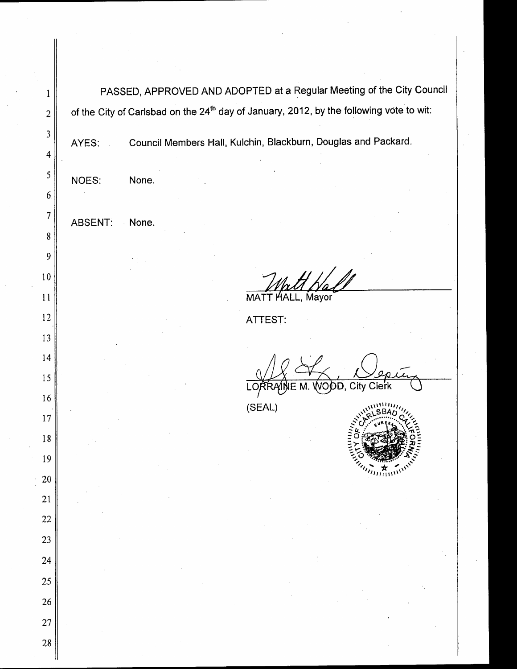| 1               | PASSED, APPROVED AND ADOPTED at a Regular Meeting of the City Council                               |  |  |  |  |  |  |  |
|-----------------|-----------------------------------------------------------------------------------------------------|--|--|--|--|--|--|--|
| $\overline{2}$  | of the City of Carlsbad on the 24 <sup>th</sup> day of January, 2012, by the following vote to wit: |  |  |  |  |  |  |  |
| 3               | Council Members Hall, Kulchin, Blackburn, Douglas and Packard.<br>AYES:                             |  |  |  |  |  |  |  |
| 4               |                                                                                                     |  |  |  |  |  |  |  |
| 5               | NOES:<br>None.                                                                                      |  |  |  |  |  |  |  |
| $6 \frac{1}{2}$ |                                                                                                     |  |  |  |  |  |  |  |
| $\overline{7}$  | <b>ABSENT:</b><br>None.                                                                             |  |  |  |  |  |  |  |
| 8               |                                                                                                     |  |  |  |  |  |  |  |
| 9               |                                                                                                     |  |  |  |  |  |  |  |
| 10              |                                                                                                     |  |  |  |  |  |  |  |
| 11              | MATT HALL, Mayor                                                                                    |  |  |  |  |  |  |  |
| 12              | <b>ATTEST:</b>                                                                                      |  |  |  |  |  |  |  |
| 13              |                                                                                                     |  |  |  |  |  |  |  |
| 14              |                                                                                                     |  |  |  |  |  |  |  |
| 15<br>16        | Clerk<br>City<br>VODD,                                                                              |  |  |  |  |  |  |  |
| 17              | (SEAL)                                                                                              |  |  |  |  |  |  |  |
| 18              |                                                                                                     |  |  |  |  |  |  |  |
| 19              | Julian L                                                                                            |  |  |  |  |  |  |  |
| <b>20</b>       |                                                                                                     |  |  |  |  |  |  |  |
| 21              |                                                                                                     |  |  |  |  |  |  |  |
| 22              |                                                                                                     |  |  |  |  |  |  |  |
| 23              |                                                                                                     |  |  |  |  |  |  |  |
| 24              |                                                                                                     |  |  |  |  |  |  |  |
| 25              |                                                                                                     |  |  |  |  |  |  |  |
| 26              |                                                                                                     |  |  |  |  |  |  |  |
| 27              |                                                                                                     |  |  |  |  |  |  |  |
| 28              |                                                                                                     |  |  |  |  |  |  |  |
|                 |                                                                                                     |  |  |  |  |  |  |  |

 $\ddot{\phantom{a}}$ 

 $\bar{\beta}$ 

 $\bar{z}$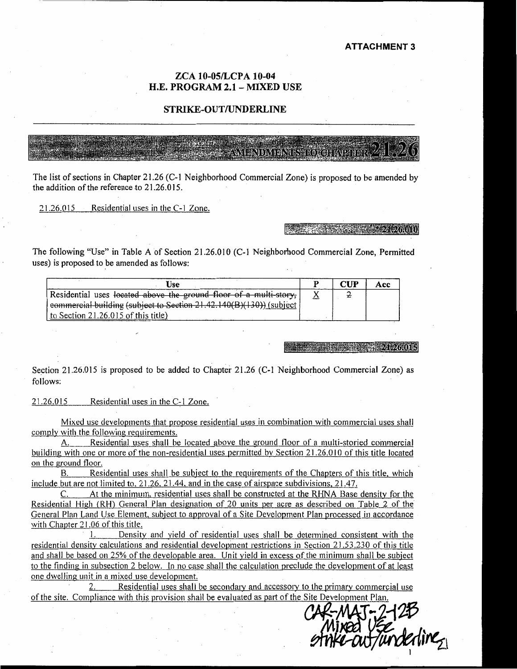#### **ATTACHMENT 3**

#### ZCA 10-05/LCPA 10-04 H.E. PROGRAM 2.1 - MIXED USE

#### STRIKE-OUT/UNDERLINE

**ПЛАРДАТИА ПАЗИКОДОН ИМИЛИТ** 

The list of sections in Chapter 21.26 (C-1 Neighborhood Commercial Zone) is proposed to be amended by the addition of the reference to 21.26.015.

21.26.015 Residential uses in the C-1 Zone.

#### 2008 - 2008 - 2008 - 2008 - 21 - 21 - 26 - 01 0

The following "Use" in Table A of Section 21.26.010 (C-1 Neighborhood Commercial Zone. Permitted uses) is proposed to be amended as follows:

| Jse                                                                 | rt te | Acc |
|---------------------------------------------------------------------|-------|-----|
| Residential uses located above the ground floor of a multi-story,   |       |     |
| eommercial building (subject to Section 21.42.140(B)(130)) (subject |       |     |
| to Section $21.26.015$ of this title)                               |       |     |

#### $-21.26.015$

Section 21.26.015 is proposed to be added to Chapter 21.26 (C-1 Neighborhood Commercial Zone) as follows:

21.26.015 Residential uses in the C-1 Zone.

Mixed use developments that propose residential uses in combination with commercial uses shall comply with the following requirements.

Residential uses shall be located above the ground floor of a multi-storied commercial A. building with one or more of the non-residential uses permitted by Section 21.26,010 of this title located on the ground floor.

Residential uses shall be subject to the requirements of the Chapters of this title, which **B.** include but are not limited to,  $21.26$ ,  $21.44$ , and in the case of airspace subdivisions,  $21.47$ .

C. At the minimum, residential uses shall be constructed at the RHNA Base density for the Residential High (RH) General Plan designation of 20 units per acre as described on Table 2 of the General Plan Land Use Element, subject to approval of a Site Development Plan processed in accordance with Chapter 21.06 of this title.

Density and yield of residential uses shall be determined consistent with the residential density calculations and residential development restrictions in Section 21.53.230 of this title and shall be based on 25% of the developable area. Unit yield in excess of the minimum shall be subject to the finding in subsection 2 below. In no case shall the calculation preclude the development of at least one dwelling unit in a mixed use development.

Residential uses shall be secondary and accessory to the primary commercial use 2. of the site. Compliance with this provision shall be evaluated as part of the Site Development Plan.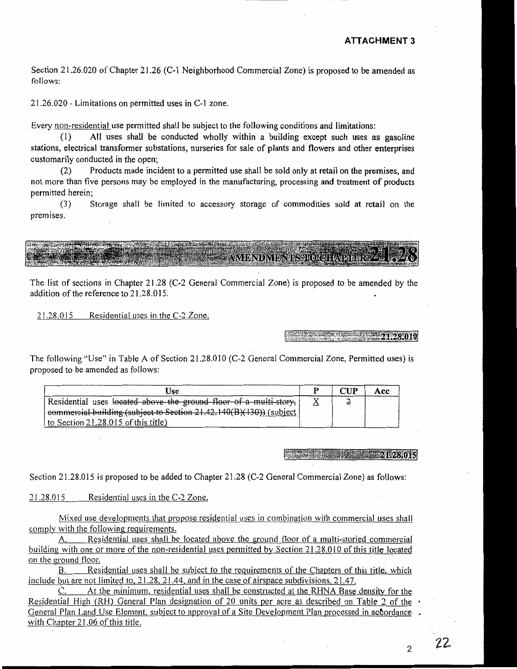Section 21.26.020 of Chapter 21.26 (C-1 Neighborhood Commercial Zone) is proposed to be amended as follows:

21.26.020 - Limitations on permitted uses in C-1 zone.

Every non-residential use permitted shall be subject to the following conditions and limitations:

All uses shall be conducted wholly within a building except such uses as gasoline  $(1)$ stations, electrical transformer substations, nurseries for sale of plants and flowers and other enterprises customarily conducted in the open;

Products made incident to a permitted use shall be sold only at retail on the premises, and  $(2)$ not more than five persons may be employed in the manufacturing, processing and treatment of products permitted herein:

 $(3)$ Storage shall be limited to accessory storage of commodities sold at retail on the premises.

**AVAIBNEAVERMENTOLOGEARER** 

The list of sections in Chapter 21.28 (C-2 General Commercial Zone) is proposed to be amended by the addition of the reference to 21.28.015.

21.28.015 Residential uses in the C-2 Zone.

22 23 23 23 23 23 23 23 23 23 23 23 23

The following "Use" in Table A of Section 21.28.010 (C-2 General Commercial Zone, Permitted uses) is proposed to be amended as follows:

| Use                                                                 | $\boldsymbol{\mathsf{CHP}}$ | Acc |
|---------------------------------------------------------------------|-----------------------------|-----|
| Residential uses located above the ground floor of a multi-story,   |                             |     |
| eommercial building (subject to Section 21.42.140(B)(130)) (subject |                             |     |
| to Section $21.28.015$ of this title)                               |                             |     |

#### 1.28.015

Section 21.28.015 is proposed to be added to Chapter 21.28 (C-2 General Commercial Zone) as follows:

Residential uses in the C-2 Zone. 21.28.015

Mixed use developments that propose residential uses in combination with commercial uses shall comply with the following requirements.

A. Residential uses shall be located above the ground floor of a multi-storied commercial building with one or more of the non-residential uses permitted by Section 21.28,010 of this title located on the ground floor.

B. Residential uses shall be subject to the requirements of the Chapters of this title, which include but are not limited to,  $21.28$ ,  $21.44$ , and in the case of airspace subdivisions,  $21.47$ .

At the minimum, residential uses shall be constructed at the RHNA Base density for the C. Residential High (RH) General Plan designation of 20 units per acre as described on Table 2 of the  $\cdot$ General Plan Land Use Element, subject to approval of a Site Development Plan processed in accordance . with Chapter 21.06 of this title.

 $\mathfrak{D}$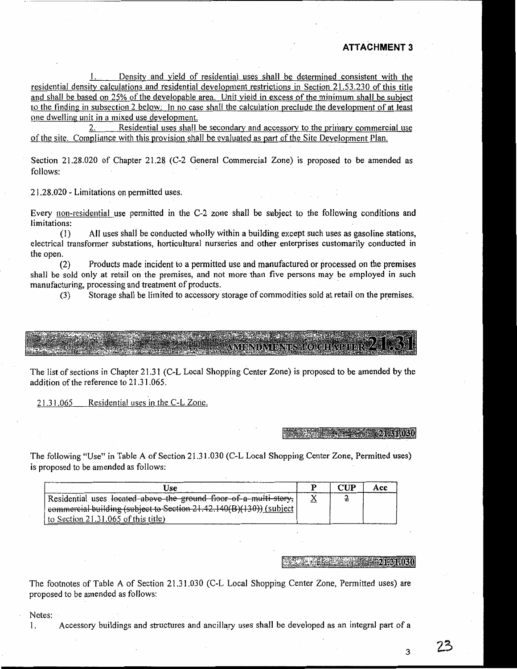Density and yield of residential uses shall be determined consistent with the residential density calculations and residential development restrictions in Section 21,53,230 of this title and shall be based on 25% of the developable area. Unit yield in excess of the minimum shall be subject to the finding in subsection 2 below. In no case shall the calculation preclude the development of at least one dwelling unit in a mixed use development.

Residential uses shall be secondary and accessory to the primary commercial use  $2.1$ of the site. Compliance with this provision shall be evaluated as part of the Site Development Plan.

Section 21.28.020 of Chapter 21.28 (C-2 General Commercial Zone) is proposed to be amended as follows:

21.28.020 - Limitations on permitted uses.

Every non-residential use permitted in the C-2 zone shall be subject to the following conditions and limitations:

All uses shall be conducted wholly within a building except such uses as gasoline stations,  $(1)$ electrical transformer substations, horticultural nurseries and other enterprises customarily conducted in the open.

Products made incident to a permitted use and manufactured or processed on the premises  $(2)$ shall be sold only at retail on the premises, and not more than five persons may be employed in such manufacturing, processing and treatment of products.

Storage shall be limited to accessory storage of commodities sold at retail on the premises.  $(3)$ 

**WY BRIELVIERYE** 

The list of sections in Chapter 21.31 (C-L Local Shopping Center Zone) is proposed to be amended by the addition of the reference to 21.31.065.

21.31.065 Residential uses in the C-L Zone.

 $24.31,030$ 

The following "Use" in Table A of Section 21.31.030 (C-L Local Shopping Center Zone, Permitted uses) is proposed to be amended as follows:

| Use                                                                     | $^{\prime\prime}$ iip | Acc |
|-------------------------------------------------------------------------|-----------------------|-----|
| Residential uses located above the ground floor of a multi-story,       |                       |     |
| commercial building (subject to Section 21.42.140 $(B)(130)$ ) (subject |                       |     |
| to Section 21.31.065 of this title)                                     |                       |     |

#### **221-31 DBA**

The footnotes of Table A of Section 21.31.030 (C-L Local Shopping Center Zone, Permitted uses) are proposed to be amended as follows:

Notes:

 $\mathbf{1}$ .

Accessory buildings and structures and ancillary uses shall be developed as an integral part of a

3

クろ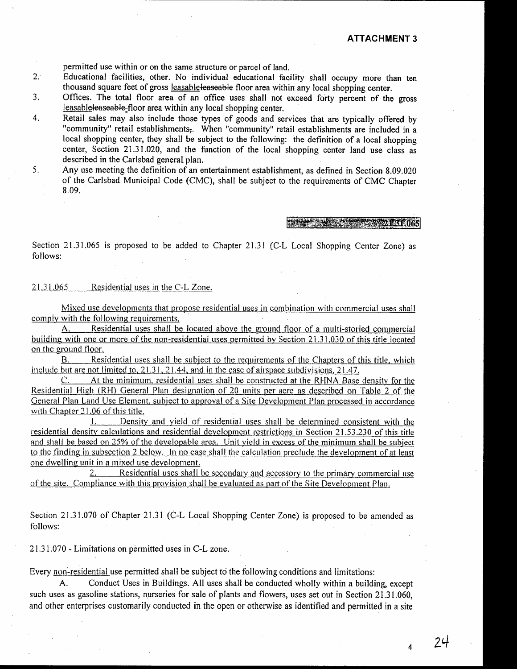permitted use within or on the same structure or parcel of land.

- $2.1$ Educational facilities, other. No individual educational facility shall occupy more than ten thousand square feet of gross leasable leaseable floor area within any local shopping center.
- $3<sub>1</sub>$ Offices. The total floor area of an office uses shall not exceed forty percent of the gross leasable leaseable-floor area within any local shopping center.
- Retail sales may also include those types of goods and services that are typically offered by  $\overline{4}$ . "community" retail establishments,. When "community" retail establishments are included in a local shopping center, they shall be subject to the following: the definition of a local shopping center. Section 21.31.020, and the function of the local shopping center land use class as described in the Carlsbad general plan.
- $5<sub>1</sub>$ Any use meeting the definition of an entertainment establishment, as defined in Section 8.09.020 of the Carlsbad Municipal Code (CMC), shall be subject to the requirements of CMC Chapter 8.09.

 $-11.4$  ,  $-1.4$  ,  $-1.4$  ,  $-1.4$  ,  $-1.4$  ,  $-1.4$  ,  $-1.4$  ,  $-1.4$  ,  $-1.4$  ,  $-1.4$  ,  $-1.4$  ,  $-1.4$  ,  $-1.4$  ,  $-1.4$  ,  $-1.4$  ,  $-1.4$  ,  $-1.4$  ,  $-1.4$  ,  $-1.4$  ,  $-1.4$  ,  $-1.4$  ,  $-1.4$  ,  $-1.4$  ,  $-1.4$  ,  $-1.$ 

Section 21.31.065 is proposed to be added to Chapter 21.31 (C-L Local Shopping Center Zone) as follows:

#### 21.31.065 Residential uses in the C-L Zone.

Mixed use developments that propose residential uses in combination with commercial uses shall comply with the following requirements.

 $A_{1}$ Residential uses shall be located above the ground floor of a multi-storied commercial building with one or more of the non-residential uses permitted by Section 21.31.030 of this title located on the ground floor.

Residential uses shall be subject to the requirements of the Chapters of this title, which B. include but are not limited to,  $21.31$ ,  $21.44$ , and in the case of airspace subdivisions,  $21.47$ .

C. At the minimum, residential uses shall be constructed at the RHNA Base density for the Residential High (RH) General Plan designation of 20 units per acre as described on Table 2 of the General Plan Land Use Element, subject to approval of a Site Development Plan processed in accordance with Chapter 21.06 of this title.

 $\mathbf{I}$ . Density and yield of residential uses shall be determined consistent with the residential density calculations and residential development restrictions in Section 21.53.230 of this title and shall be based on 25% of the developable area. Unit yield in excess of the minimum shall be subject to the finding in subsection 2 below. In no case shall the calculation preclude the development of at least one dwelling unit in a mixed use development.

Residential uses shall be secondary and accessory to the primary commercial use  $2.$ of the site. Compliance with this provision shall be evaluated as part of the Site Development Plan.

Section 21.31.070 of Chapter 21.31 (C-L Local Shopping Center Zone) is proposed to be amended as follows:

21.31.070 - Limitations on permitted uses in C-L zone.

Every non-residential use permitted shall be subject to the following conditions and limitations:

Conduct Uses in Buildings. All uses shall be conducted wholly within a building, except such uses as gasoline stations, nurseries for sale of plants and flowers, uses set out in Section 21.31.060, and other enterprises customarily conducted in the open or otherwise as identified and permitted in a site

 $\overline{\bf{4}}$